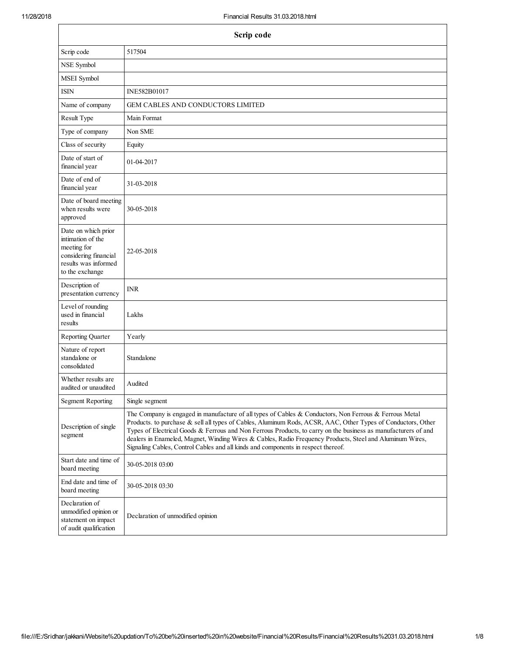| Scrip code                                                                                                                  |                                                                                                                                                                                                                                                                                                                                                                                                                                                                                                                                           |  |  |
|-----------------------------------------------------------------------------------------------------------------------------|-------------------------------------------------------------------------------------------------------------------------------------------------------------------------------------------------------------------------------------------------------------------------------------------------------------------------------------------------------------------------------------------------------------------------------------------------------------------------------------------------------------------------------------------|--|--|
| Scrip code                                                                                                                  | 517504                                                                                                                                                                                                                                                                                                                                                                                                                                                                                                                                    |  |  |
| NSE Symbol                                                                                                                  |                                                                                                                                                                                                                                                                                                                                                                                                                                                                                                                                           |  |  |
| MSEI Symbol                                                                                                                 |                                                                                                                                                                                                                                                                                                                                                                                                                                                                                                                                           |  |  |
| <b>ISIN</b>                                                                                                                 | INE582B01017                                                                                                                                                                                                                                                                                                                                                                                                                                                                                                                              |  |  |
| Name of company                                                                                                             | <b>GEM CABLES AND CONDUCTORS LIMITED</b>                                                                                                                                                                                                                                                                                                                                                                                                                                                                                                  |  |  |
| Result Type                                                                                                                 | Main Format                                                                                                                                                                                                                                                                                                                                                                                                                                                                                                                               |  |  |
| Type of company                                                                                                             | Non SME                                                                                                                                                                                                                                                                                                                                                                                                                                                                                                                                   |  |  |
| Class of security                                                                                                           | Equity                                                                                                                                                                                                                                                                                                                                                                                                                                                                                                                                    |  |  |
| Date of start of<br>financial year                                                                                          | 01-04-2017                                                                                                                                                                                                                                                                                                                                                                                                                                                                                                                                |  |  |
| Date of end of<br>financial year                                                                                            | 31-03-2018                                                                                                                                                                                                                                                                                                                                                                                                                                                                                                                                |  |  |
| Date of board meeting<br>when results were<br>approved                                                                      | 30-05-2018                                                                                                                                                                                                                                                                                                                                                                                                                                                                                                                                |  |  |
| Date on which prior<br>intimation of the<br>meeting for<br>considering financial<br>results was informed<br>to the exchange | 22-05-2018                                                                                                                                                                                                                                                                                                                                                                                                                                                                                                                                |  |  |
| Description of<br>presentation currency                                                                                     | <b>INR</b>                                                                                                                                                                                                                                                                                                                                                                                                                                                                                                                                |  |  |
| Level of rounding<br>used in financial<br>results                                                                           | Lakhs                                                                                                                                                                                                                                                                                                                                                                                                                                                                                                                                     |  |  |
| <b>Reporting Quarter</b>                                                                                                    | Yearly                                                                                                                                                                                                                                                                                                                                                                                                                                                                                                                                    |  |  |
| Nature of report<br>standalone or<br>consolidated                                                                           | Standalone                                                                                                                                                                                                                                                                                                                                                                                                                                                                                                                                |  |  |
| Whether results are.<br>audited or unaudited                                                                                | Audited                                                                                                                                                                                                                                                                                                                                                                                                                                                                                                                                   |  |  |
| <b>Segment Reporting</b>                                                                                                    | Single segment                                                                                                                                                                                                                                                                                                                                                                                                                                                                                                                            |  |  |
| Description of single<br>segment                                                                                            | The Company is engaged in manufacture of all types of Cables & Conductors, Non Ferrous & Ferrous Metal<br>Products. to purchase & sell all types of Cables, Aluminum Rods, ACSR, AAC, Other Types of Conductors, Other<br>Types of Electrical Goods & Ferrous and Non Ferrous Products, to carry on the business as manufacturers of and<br>dealers in Enameled, Magnet, Winding Wires & Cables, Radio Frequency Products, Steel and Aluminum Wires,<br>Signaling Cables, Control Cables and all kinds and components in respect thereof. |  |  |
| Start date and time of<br>board meeting                                                                                     | 30-05-2018 03:00                                                                                                                                                                                                                                                                                                                                                                                                                                                                                                                          |  |  |
| End date and time of<br>board meeting                                                                                       | 30-05-2018 03:30                                                                                                                                                                                                                                                                                                                                                                                                                                                                                                                          |  |  |
| Declaration of<br>unmodified opinion or<br>statement on impact<br>of audit qualification                                    | Declaration of unmodified opinion                                                                                                                                                                                                                                                                                                                                                                                                                                                                                                         |  |  |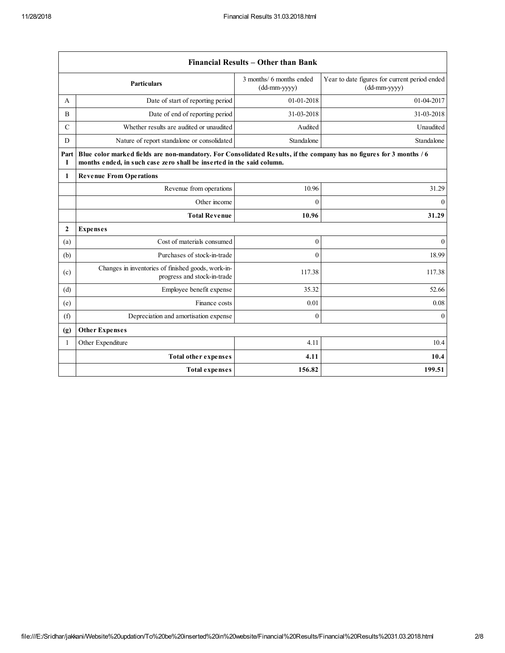$\mathsf{r}$ 

|                  | Financial Results - Other than Bank                                                                                                                                                           |                                            |                                                               |
|------------------|-----------------------------------------------------------------------------------------------------------------------------------------------------------------------------------------------|--------------------------------------------|---------------------------------------------------------------|
|                  | <b>Particulars</b>                                                                                                                                                                            | 3 months/ 6 months ended<br>$(dd-mm-yyyy)$ | Year to date figures for current period ended<br>(dd-mm-yyyy) |
| A                | Date of start of reporting period                                                                                                                                                             | 01-01-2018                                 | 01-04-2017                                                    |
| B                | Date of end of reporting period                                                                                                                                                               | 31-03-2018                                 | 31-03-2018                                                    |
| $\mathcal{C}$    | Whether results are audited or unaudited                                                                                                                                                      | Audited                                    | Unaudited                                                     |
| D                | Nature of report standalone or consolidated                                                                                                                                                   | Standalone                                 | Standalone                                                    |
| Part<br>1        | Blue color marked fields are non-mandatory. For Consolidated Results, if the company has no figures for 3 months / 6<br>months ended, in such case zero shall be inserted in the said column. |                                            |                                                               |
| 1                | <b>Revenue From Operations</b>                                                                                                                                                                |                                            |                                                               |
|                  | Revenue from operations                                                                                                                                                                       | 10.96                                      | 31.29                                                         |
|                  | Other income                                                                                                                                                                                  | $\theta$                                   | $\theta$                                                      |
|                  | <b>Total Revenue</b>                                                                                                                                                                          | 10.96                                      | 31.29                                                         |
| $\boldsymbol{2}$ | <b>Expenses</b>                                                                                                                                                                               |                                            |                                                               |
| (a)              | Cost of materials consumed                                                                                                                                                                    | $\mathbf{0}$                               | $\theta$                                                      |
| (b)              | Purchases of stock-in-trade                                                                                                                                                                   | $\theta$                                   | 18.99                                                         |
| (c)              | Changes in inventories of finished goods, work-in-<br>progress and stock-in-trade                                                                                                             | 117.38                                     | 117.38                                                        |
| (d)              | Employee benefit expense                                                                                                                                                                      | 35.32                                      | 52.66                                                         |
| (e)              | Finance costs                                                                                                                                                                                 | 0.01                                       | 0.08                                                          |
| (f)              | Depreciation and amortisation expense                                                                                                                                                         | $\mathbf{0}$                               | $\theta$                                                      |
| (g)              | <b>Other Expenses</b>                                                                                                                                                                         |                                            |                                                               |
| 1                | Other Expenditure                                                                                                                                                                             | 4.11                                       | 10.4                                                          |
|                  | <b>Total other expenses</b>                                                                                                                                                                   | 4.11                                       | 10.4                                                          |
|                  | <b>Total expenses</b>                                                                                                                                                                         | 156.82                                     | 199.51                                                        |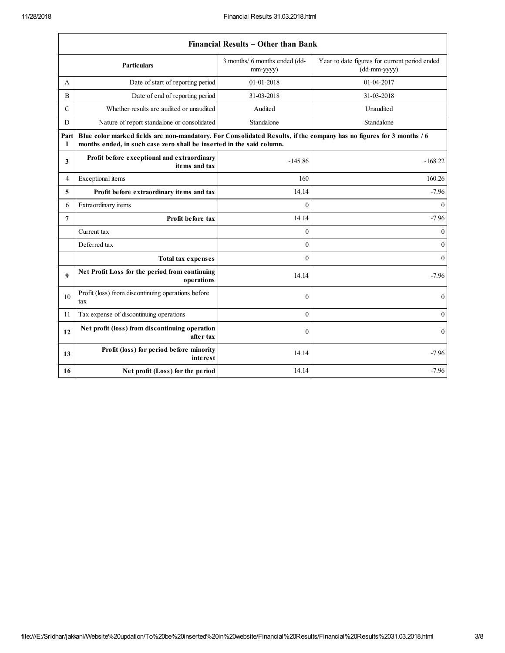|                | <b>Financial Results – Other than Bank</b>                                                                                                                                                    |                                           |                                                               |  |
|----------------|-----------------------------------------------------------------------------------------------------------------------------------------------------------------------------------------------|-------------------------------------------|---------------------------------------------------------------|--|
|                | <b>Particulars</b>                                                                                                                                                                            | 3 months/ 6 months ended (dd-<br>mm-yyyy) | Year to date figures for current period ended<br>(dd-mm-yyyy) |  |
| A              | Date of start of reporting period                                                                                                                                                             | 01-01-2018                                | 01-04-2017                                                    |  |
| B              | Date of end of reporting period                                                                                                                                                               | 31-03-2018                                | 31-03-2018                                                    |  |
| $\mathcal{C}$  | Whether results are audited or unaudited                                                                                                                                                      | Audited                                   | Unaudited                                                     |  |
| D              | Nature of report standalone or consolidated                                                                                                                                                   | Standalone                                | Standalone                                                    |  |
| Part<br>1      | Blue color marked fields are non-mandatory. For Consolidated Results, if the company has no figures for 3 months / 6<br>months ended, in such case zero shall be inserted in the said column. |                                           |                                                               |  |
| 3              | Profit before exceptional and extraordinary<br>items and tax                                                                                                                                  | $-145.86$                                 | $-168.22$                                                     |  |
| 4              | Exceptional items                                                                                                                                                                             | 160                                       | 160.26                                                        |  |
| 5              | Profit before extraordinary items and tax                                                                                                                                                     | 14.14                                     | $-7.96$                                                       |  |
| 6              | Extraordinary items                                                                                                                                                                           | $\theta$                                  | $\mathbf{0}$                                                  |  |
| $\overline{7}$ | Profit before tax                                                                                                                                                                             | 14.14                                     | $-7.96$                                                       |  |
|                | Current tax                                                                                                                                                                                   | $\theta$                                  | $\mathbf{0}$                                                  |  |
|                | Deferred tax                                                                                                                                                                                  | $\theta$                                  | $\mathbf{0}$                                                  |  |
|                | <b>Total tax expenses</b>                                                                                                                                                                     | $\mathbf{0}$                              | $\overline{0}$                                                |  |
| 9              | Net Profit Loss for the period from continuing<br>operations                                                                                                                                  | 14.14                                     | $-7.96$                                                       |  |
| 10             | Profit (loss) from discontinuing operations before<br>tax                                                                                                                                     | $\mathbf{0}$                              | $\mathbf{0}$                                                  |  |
| 11             | Tax expense of discontinuing operations                                                                                                                                                       | $\mathbf{0}$                              | $\overline{0}$                                                |  |
| 12             | Net profit (loss) from discontinuing operation<br>after tax                                                                                                                                   | $\theta$                                  | $\mathbf{0}$                                                  |  |
| 13             | Profit (loss) for period before minority<br>interest                                                                                                                                          | 14.14                                     | $-7.96$                                                       |  |
| 16             | Net profit (Loss) for the period                                                                                                                                                              | 14.14                                     | $-7.96$                                                       |  |

## Financial Results – Other than Bank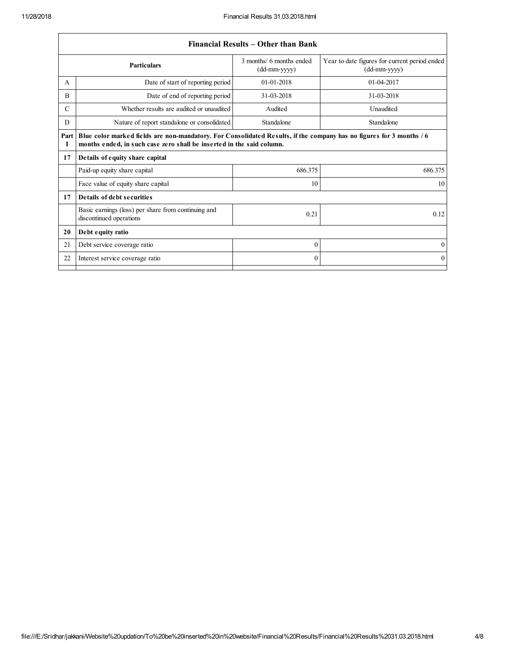|               | Financial Results – Other than Bank                                                                                                                                                           |                                            |                                                                 |  |
|---------------|-----------------------------------------------------------------------------------------------------------------------------------------------------------------------------------------------|--------------------------------------------|-----------------------------------------------------------------|--|
|               | <b>Particulars</b>                                                                                                                                                                            | 3 months/ 6 months ended<br>$(dd-mm-yyyy)$ | Year to date figures for current period ended<br>$(dd-mm-yyyy)$ |  |
| A             | Date of start of reporting period                                                                                                                                                             | $01-01-2018$                               | 01-04-2017                                                      |  |
| B             | Date of end of reporting period                                                                                                                                                               | 31-03-2018                                 | 31-03-2018                                                      |  |
| $\mathcal{C}$ | Whether results are audited or unaudited                                                                                                                                                      | Audited                                    | Unaudited                                                       |  |
| D             | Nature of report standalone or consolidated                                                                                                                                                   | Standalone                                 | Standalone                                                      |  |
| Part<br>Т     | Blue color marked fields are non-mandatory. For Consolidated Results, if the company has no figures for 3 months / 6<br>months ended, in such case zero shall be inserted in the said column. |                                            |                                                                 |  |
| 17            | Details of equity share capital                                                                                                                                                               |                                            |                                                                 |  |
|               | Paid-up equity share capital                                                                                                                                                                  | 686.375                                    | 686.375                                                         |  |
|               | Face value of equity share capital                                                                                                                                                            | 10                                         | 10                                                              |  |
| 17            | Details of debt securities                                                                                                                                                                    |                                            |                                                                 |  |
|               | Basic earnings (loss) per share from continuing and<br>discontinued operations                                                                                                                | 0.21                                       | 0.12                                                            |  |
| 20            | Debt equity ratio                                                                                                                                                                             |                                            |                                                                 |  |
| 21            | Debt service coverage ratio                                                                                                                                                                   | $\theta$                                   | $\theta$                                                        |  |
| 22            | Interest service coverage ratio                                                                                                                                                               | 0                                          | $\mathbf{0}$                                                    |  |
|               |                                                                                                                                                                                               |                                            |                                                                 |  |

## Financial Results – Other than Bank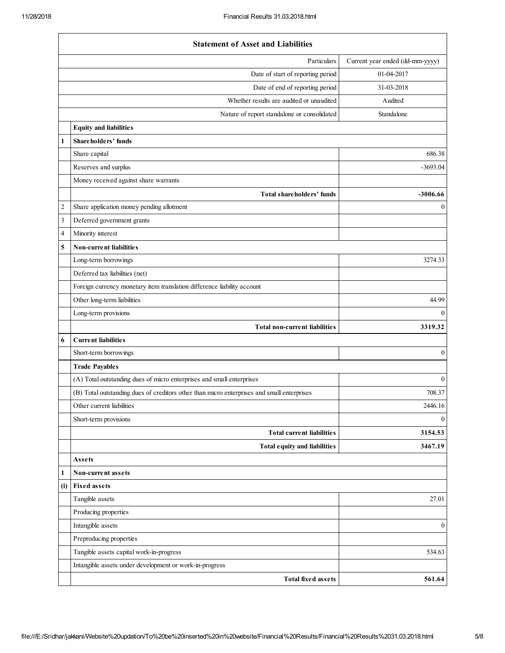|                | <b>Statement of Asset and Liabilities</b>                                                  |                                 |
|----------------|--------------------------------------------------------------------------------------------|---------------------------------|
|                | Particulars                                                                                | Current year ended (dd-mm-yyyy) |
|                | Date of start of reporting period                                                          | 01-04-2017                      |
|                | Date of end of reporting period                                                            | 31-03-2018                      |
|                | Whether results are audited or unaudited                                                   | Audited                         |
|                | Nature of report standalone or consolidated                                                | Standalone                      |
|                | <b>Equity and liabilities</b>                                                              |                                 |
| 1              | Shareholders' funds                                                                        |                                 |
|                | Share capital                                                                              | 686.38                          |
|                | Reserves and surplus                                                                       | $-3693.04$                      |
|                | Money received against share warrants                                                      |                                 |
|                | Total shareholders' funds                                                                  | $-3006.66$                      |
| $\overline{c}$ | Share application money pending allotment                                                  | $\boldsymbol{0}$                |
| 3              | Deferred government grants                                                                 |                                 |
| 4              | Minority interest                                                                          |                                 |
| 5              | Non-current liabilities                                                                    |                                 |
|                | Long-term borrowings                                                                       | 3274.33                         |
|                | Deferred tax liabilities (net)                                                             |                                 |
|                | Foreign currency monetary item translation difference liability account                    |                                 |
|                | Other long-term liabilities                                                                | 44.99                           |
|                | Long-term provisions                                                                       | $\overline{0}$                  |
|                | Total non-current liabilities                                                              | 3319.32                         |
| 6              | <b>Current liabilities</b>                                                                 |                                 |
|                | Short-term borrowings                                                                      | $\boldsymbol{0}$                |
|                | <b>Trade Payables</b>                                                                      |                                 |
|                | (A) Total outstanding dues of micro enterprises and small enterprises                      | $\mathbf{0}$                    |
|                | (B) Total outstanding dues of creditors other than micro enterprises and small enterprises | 708.37                          |
|                | Other current liabilities                                                                  | 2446.16                         |
|                | Short-term provisions                                                                      | $\mathbf{0}$                    |
|                | <b>Total current liabilities</b>                                                           | 3154.53                         |
|                | Total equity and liabilities                                                               | 3467.19                         |
|                | Assets                                                                                     |                                 |
| 1              | Non-current assets                                                                         |                                 |
| (i)            | <b>Fixed assets</b>                                                                        |                                 |
|                | Tangible assets                                                                            | 27.01                           |
|                | Producing properties                                                                       |                                 |
|                | Intangible assets                                                                          | $\boldsymbol{0}$                |
|                | Preproducing properties                                                                    |                                 |
|                | Tangible assets capital work-in-progress                                                   | 534.63                          |
|                | Intangible assets under development or work-in-progress                                    |                                 |
|                | <b>Total fixed assets</b>                                                                  | 561.64                          |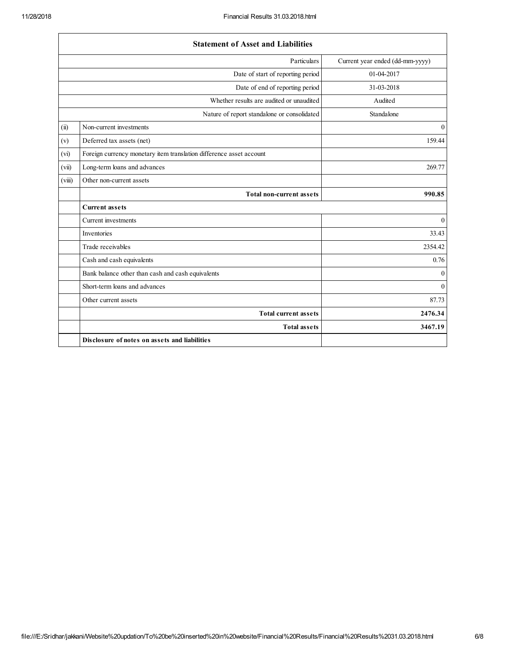|        | <b>Statement of Asset and Liabilities</b>                           |                                 |
|--------|---------------------------------------------------------------------|---------------------------------|
|        | Particulars                                                         | Current year ended (dd-mm-yyyy) |
|        | Date of start of reporting period                                   | 01-04-2017                      |
|        | Date of end of reporting period                                     | 31-03-2018                      |
|        | Whether results are audited or unaudited                            | Audited                         |
|        | Nature of report standalone or consolidated                         | Standalone                      |
| (ii)   | Non-current investments                                             | $\mathbf{0}$                    |
| (v)    | Deferred tax assets (net)                                           | 159.44                          |
| (vi)   | Foreign currency monetary item translation difference asset account |                                 |
| (vii)  | Long-term loans and advances                                        | 269.77                          |
| (viii) | Other non-current assets                                            |                                 |
|        | <b>Total non-current assets</b>                                     | 990.85                          |
|        | <b>Current assets</b>                                               |                                 |
|        | Current investments                                                 | $\mathbf{0}$                    |
|        | Inventories                                                         | 33.43                           |
|        | Trade receivables                                                   | 2354.42                         |
|        | Cash and cash equivalents                                           | 0.76                            |
|        | Bank balance other than cash and cash equivalents                   | $\Omega$                        |
|        | Short-term loans and advances                                       | $\Omega$                        |
|        | Other current assets                                                | 87.73                           |
|        | <b>Total current assets</b>                                         | 2476.34                         |
|        | <b>Total assets</b>                                                 | 3467.19                         |
|        | Disclosure of notes on assets and liabilities                       |                                 |